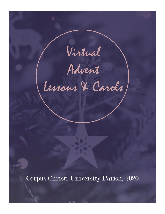# Virtual<br>Advent Lessans & Carols,

**Corpus Christi University Parish, 2020**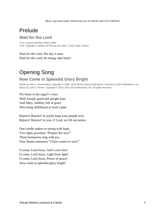## Prelude

## **Wait for the Lord**

*Tune: Jacques Berthier (1923-1994) Text: Copyright © Ateliers et Presses de Taizé, 71250 Taizé, France*

Wait for the Lord, His day is near. Wait for the Lord; be strong, take heart!

# Opening Song

## **Now Come in Splendid Glory Bright**

*Words by Alan J. Hommerding, Copyright © 2008, 2019 World Library Publications, a division of GIA Publications, Inc. Music by Luke D. Rosen, Copyright © 2019, 2021 GIA Publications, Inc. All rights reserved.*

We listen to the angel's voice With Joseph, good and upright man And Mary, faithful, full of grace Who bring fulfillment to God's plan.

Rejoice! Rejoice! In joyful hope your people wait. Rejoice! Rejoice! In you, O Lord, we lift our praise.

One candle makes us strong with hope, Two lights proclaim "Prepare the way!" Three luminaries sing with joy, Four flames announce "Christ comes to save!"

O come, Lord Jesus, God's own Son! O come, Lord Jesus, Light from light! O come, Lord Jesus, Prince of peace! Now come in splendid glory bright!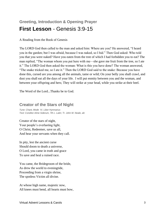## **Greeting, Introduction & Opening Prayer First Lesson** - Genesis 3:9-15

#### A Reading from the Book of Genesis

The LORD God then called to the man and asked him: Where are you? He answered, "I heard you in the garden; but I was afraid, because I was naked, so I hid." Then God asked: Who told you that you were naked? Have you eaten from the tree of which I had forbidden you to eat? The man replied, "The woman whom you put here with me—she gave me fruit from the tree, so I ate it." The LORD God then asked the woman: What is this you have done? The woman answered, "The snake tricked me, so I ate it." Then the LORD God said to the snake: Because you have done this, cursed are you among all the animals, tame or wild; On your belly you shall crawl, and dust you shall eat all the days of your life. I will put enmity between you and the woman, and between your offspring and hers; They will strike at your head, while you strike at their heel.

The Word of the Lord...Thanks be to God.

#### **Creator of the Stars of Night**

*Tune: Chant, Mode IV, Liber Hymnarius Text: Conditor Alme Siderum, 7th c. Latin; Tr. John M. Neale, alt.*

Creator of the stars of night, Your people's everlasting light, O Christ, Redeemer, save us all, And hear your servants when they call.

In pity, lest the ancient curse Should doom to death a universe, O Lord, you came in truth and grace To save and heal a ruined race.

You came, the Bridegroom of the bride, As drew the world to eveningtide, Proceeding from a virgin shrine, The spotless Victim all divine.

At whose high name, majestic now, All knees must bend, all hearts must bow,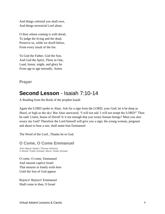And things celestial you shall own, And things terrestrial Lord alone.

O thou whose coming is with dread, To judge the living and the dead, Preserve us, while we dwell below, From every insult of the foe.

To God the Father, God the Son, And God the Spirit, Three in One, Laud, honor, might, and glory be From age to age eternally. Amen.

**Prayer**

## **Second Lesson** - Isaiah 7:10-14

A Reading from the Book of the prophet Isaiah

Again the LORD spoke to Ahaz: Ask for a sign from the LORD, your God; let it be deep as Sheol, or high as the sky! But Ahaz answered, "I will not ask! I will not tempt the LORD!" Then he said: Listen, house of David! Is it not enough that you weary human beings? Must you also weary my God? Therefore the Lord himself will give you a sign; the young woman, pregnant and about to bear a son, shall name him Emmanuel.

The Word of the Lord...Thanks be to God.

#### **O Come, O Come Emmanuel**

*John Mason Neale | Thomas Helmore © Words: Public Domain, Music: Public Domain*

O come, O come, Emmanuel And ransom captive Israel That mourns in lonely exile here Until the Son of God appear

Rejoice! Rejoice! Emmanuel Shall come to thee, O Israel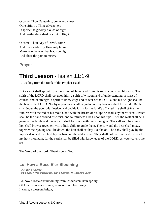O come, Thou Dayspring, come and cheer Our spirits by Thine advent here Disperse the gloomy clouds of night And death's dark shadows put to flight

O come, Thou Key of David, come And open wide Thy Heavenly home Make safe the way that leads on high And close the path to misery

**Prayer**

## **Third Lesson** - Isaiah 11:1-9

A Reading from the Book of the Prophet Isaiah

But a shoot shall sprout from the stump of Jesse, and from his roots a bud shall blossom. The spirit of the LORD shall rest upon him: a spirit of wisdom and of understanding, a spirit of counsel and of strength, a spirit of knowledge and of fear of the LORD, and his delight shall be the fear of the LORD. Not by appearance shall he judge, nor by hearsay shall he decide. But he shall judge the poor with justice, and decide fairly for the land's afflicted. He shall strike the ruthless with the rod of his mouth, and with the breath of his lips he shall slay the wicked. Justice shall be the band around his waist, and faithfulness a belt upon his hips. Then the wolf shall be a guest of the lamb, and the leopard shall lie down with the young goat; The calf and the young lion shall browse together, with a little child to guide them. The cow and the bear shall graze, together their young shall lie down; the lion shall eat hay like the ox. The baby shall play by the viper's den, and the child lay his hand on the adder's lair. They shall not harm or destroy on all my holy mountain; for the earth shall be filled with knowledge of the LORD, as water covers the sea.

The Word of the Lord...Thanks be to God.

## **Lo, How a Rose E'er Blooming**

*Tune: 16th c. German Text: Es ist ein Ros entsprungen, 15th c. German; Tr. Theodore Baker*

Lo, how a Rose e'er blooming from tender stem hath sprung! Of Jesse's lineage coming, as men of old have sung. It came, a blossom bright,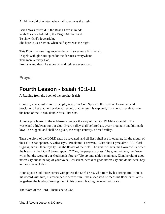Amid the cold of winter, when half spent was the night.

Isaiah 'twas foretold it, the Rose I have in mind; With Mary we behold it, the Virgin Mother kind. To show God's love aright, She bore to us a Savior, when half spent was the night.

This Flow'r whose fragrance tender with sweetness fills the air, Dispels with glorious splendor the darkness everywhere. True man yet very God, From sin and death he saves us, and lightens every load.

**Prayer**

## **Fourth Lesson** - Isaiah 40:1-11

A Reading from the book of the prophet Isaiah

Comfort, give comfort to my people, says your God. Speak to the heart of Jerusalem, and proclaim to her that her service has ended, that her guilt is expiated, that she has received from the hand of the LORD double for all her sins.

A voice proclaims: In the wilderness prepare the way of the LORD! Make straight in the wasteland a highway for our God! Every valley shall be lifted up, every mountain and hill made low; The rugged land shall be a plain, the rough country, a broad valley.

Then the glory of the LORD shall be revealed, and all flesh shall see it together; for the mouth of the LORD has spoken. A voice says, "Proclaim!" I answer, "What shall I proclaim?" "All flesh is grass, and all their loyalty like the flower of the field. The grass withers, the flower wilts, when the breath of the LORD blows upon it." "Yes, the people is grass! The grass withers, the flower wilts, but the word of our God stands forever."Go up onto a high mountain, Zion, herald of good news! Cry out at the top of your voice, Jerusalem, herald of good news! Cry out, do not fear! Say to the cities of Judah:

Here is your God! Here comes with power the Lord GOD, who rules by his strong arm; Here is his reward with him, his recompense before him. Like a shepherd he feeds his flock;in his arms he gathers the lambs, Carrying them in his bosom, leading the ewes with care.

The Word of the Lord...Thanks be to God.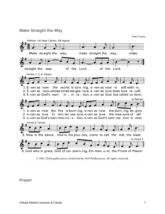#### **Make Straight the Way**



© 1993, TEAM publications. Published by OCP Publications. All rights reserved.

#### **Prayer**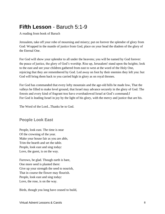# **Fifth Lesson** - Baruch 5:1-9

A reading from book of Baruch

Jerusalem, take off your robe of mourning and misery; put on forever the splendor of glory from God: Wrapped in the mantle of justice from God, place on your head the diadem of the glory of the Eternal One.

For God will show your splendor to all under the heavens; you will be named by God forever: the peace of justice, the glory of God's worship. Rise up, Jerusalem! stand upon the heights; look to the east and see your children gathered from east to west at the word of the Holy One, rejoicing that they are remembered by God. Led away on foot by their enemies they left you: but God will bring them back to you carried high in glory as on royal thrones.

For God has commanded that every lofty mountain and the age-old hills be made low, That the valleys be filled to make level ground, that Israel may advance securely in the glory of God. The forests and every kind of fragrant tree have overshadowed Israel at God's command[;f](https://bible.usccb.org/bible/baruch/5#32005008-f) For God is leading Israel in joy by the light of his glory, with the mercy and justice that are his.

The Word of the Lord...Thanks be to God.

#### **People Look East**

People, look east. The time is near Of the crowning of the year. Make your house fair as you are able, Trim the hearth and set the table. People, look east and sing today: Love, the guest, is on the way.

Furrows, be glad. Though earth is bare, One more seed is planted there: Give up your strength the seed to nourish, That in course the flower may flourish. People, look east and sing today: Love, the rose, is on the way.

Birds, though you long have ceased to build,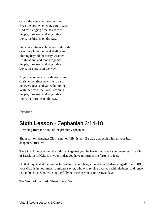Guard the nest that must be filled. Even the hour when wings are frozen God for fledging time has chosen. People, look east and sing today: Love, the bird, is on the way.

Stars, keep the watch. When night is dim One more light the bowl shall brim, Shining beyond the frosty weather, Bright as sun and moon together. People, look east and sing today: Love, the star, is on the way.

Angels, announce with shouts of mirth Christ who brings new life to earth. Set every peak and valley humming With the word, the Lord is coming. People, look east and sing today: Love, the Lord, is on the way.

#### **Prayer**

## **Sixth Lesson** - Zephaniah 3:14-18

A reading from the book of the prophet Zephaniah

Shout for joy, daughter Zion! sing joyfully, Israel! Be glad and exult with all your heart, daughter Jerusalem!

The LORD has removed the judgment against you, he has turned away your enemies; The King of Israel, the LORD, is in your midst, you have no further misfortune to fear.

On that day, it shall be said to Jerusalem: Do not fear, Zion, do not be discouraged! The LORD, your God, is in your midst, a mighty savior, who will rejoice over you with gladness, and renew you in his love, who will sing joyfully because of you as on festival days.

The Word of the Lord...Thanks be to God.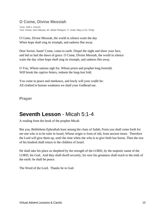## **O Come, Divine Messiah**

*Tune: 16th c. French Text: Venez, divin Messie, M. l'abbé Pellegrin; Tr. Sister Mary of St. Philip*

O Come, Divine Messiah, the world in silence waits the day When hope shall sing its triumph, and sadness flee away.

Dear Savior, haste! Come, come to earth. Dispel the night and show your face, and bid us hail the dawn of grace. O Come, Divine Messiah, the world in silence waits the day when hope shall sing its triumph, and sadness flee away.

O You, Whom nations sigh for, Whom priest and prophet long foretold, Will break the captive fetters, redeem the long-lost fold.

You come in peace and meekness, and lowly will your cradle be: All clothed in human weakness we shall your Godhead see.

**Prayer**

## **Seventh Lesson** - Micah 5:1-4

A reading from the book of the prophet Micah

But you, Bethlehem-Ephrathah least among the clans of Judah, From you shall come forth for me one who is to be ruler in Israel; Whose origin is from of old, from ancient times. Therefore the Lord will give them up, until the time when she who is to give birth has borne, Then the rest of his kindred shall return to the children of Israel.

He shall take his place as shepherd by the strength of the LORD, by the majestic name of the LORD, his God; And they shall dwell securely, for now his greatness shall reach to the ends of the earth: he shall be peace.

The Word of the Lord. Thanks be to God.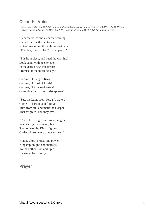#### **Clear the Voice**

*Verses and Bridge text © 2000, St. Meinrad Archabbey. Music and Refrain text © 2019, Luke D. Rosen. Text and music published by OCP, 5536 NE Hassalo, Portland, OR 97213. All rights reserved.*

Clear the voice and clear the warning, Clear for all with ears to hear; Voice resounding through the darkness, "Tremble, Earth! The Christ appears!"

"Stir from sleep, and heed the warning! Look again with keener eye! In the dark a new star flashes, Promise of the morning sky."

O come, O King of Kings! O come, O Lord of Lords! O come, O Prince of Peace! O tremble Earth, the Christ appears!

"See, the Lamb from Jordan's waters Comes to pardon and forgive. Turn from sin, and mark the Gospel That forgiven, you may live."

"Christ the King comes robed in glory, Scatters night and every fear. Run to meet the King of glory, Christ whose mercy draws us near."

Honor, glory, praise, and power, Kingship, might, and majesty, To the Father, Son and Spirit Blessings for eternity.

#### **Prayer**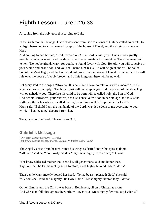## **Eighth Lesson** - Luke 1:26-38

A reading from the holy gospel according to Luke

In the sixth month, the angel Gabriel was sent from God to a town of Galilee called Nazareth, to a virgin betrothed to a man named Joseph, of the house of David, and the virgin's name was Mary.

And coming to her, he said, "Hail, favored one! The Lord is with you." But she was greatly troubled at what was said and pondered what sort of greeting this might be. Then the angel said to her, "Do not be afraid, Mary, for you have found favor with God. Behold, you will conceive in your womb and bear a son, and you shall name him Jesus. He will be great and will be called Son of the Most High, and the Lord God will give him the throne of David his father, and he will rule over the house of Jacob forever, and of his kingdom there will be no end."

But Mary said to the angel, "How can this be, since I have no relations with a man?" And the angel said to her in reply, "The holy Spirit will come upon you, and the power of the Most High will overshadow you. Therefore the child to be born will be called holy, the Son of God. And behold, Elizabeth, your relative, has also conceive[d\\*](https://bible.usccb.org/bible/luke/1#50001036-1) a son in her old age, and this is the sixth month for her who was called barren; for nothing will be impossible for God.["r](https://bible.usccb.org/bible/luke/1#50001037-r) Mary said, "Behold, I am the handmaid of the Lord. May it be done to me according to your word." Then the angel departed from her.

The Gospel of the Lord. Thanks be to God.

## **Gabriel's Message**

*Tune: Trad. Basque carol; Arr. F. Melville Text: Birjina gaztetto bat zegoen, trad. Basque; Tr. Sabine Barine-Gould*

The Angel Gabriel from heaven came; his wings as drifted snow, his eyes as flame. "All hail," said he, "thou lowly maiden Mary, most highly favored lady!" Gloria!

"For know a blessed mother thou shalt be, all generations laud and honor thee, Thy Son shall be Emmanuel by seers foretold, most highly favored lady!" Gloria!

Then gentle Mary meekly bowed her head. "To me be as it pleaseth God," she said. "My soul shall laud and magnify His Holy Name." Most highly favored lady! Gloria!

Of her, Emmanuel, the Christ, was born in Bethlehem, all on a Christmas morn. And Christian folk throughout the world will ever say: "Most highly favored lady! Gloria!"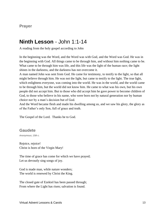#### **Prayer**

## **Ninth Lesson** - John 1:1-14

A reading from the holy gospel according to John

In the beginning was the Word, and the Word was with God, and the Word was God. He was in the beginning with God. All things came to be through him, and without him nothing came to be. What came to be through him was life, and this life was the light of the human race; the light shines in the darkness, and the darkness has not overcome it.

A man named John was sent from God. He came for testimony, to testify to the light, so that all might believe through him. He was not the light, but came to testify to the light. The true light, which enlightens everyone, was coming into the world. He was in the world, and the world came to be through him, but the world did not know him. He came to what was his own, but his own people did not accept him. But to those who did accept him he gave power to become children of God, to those who believe in his name, who were born not by natural generation nor by human choice nor by a man's decision but of God.

And the Word became flesh and made his dwelling among us, and we saw his glory, the glory as of the Father's only Son, full of grace and truth.

The Gospel of the Lord. Thanks be to God.

#### **Gaudete**

*Anonymous; 15th c.*

Rejoice, rejoice! Christ is born of the Virgin Mary!

The time of grace has come for which we have prayed; Let us devoutly sing songs of joy.

God is made man, while nature wonders; The world is renewed by Christ the King.

The closed gate of Ezekiel has been passed through; From where the Light has risen; salvation is found.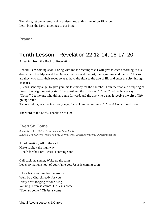Therefore, let our assembly sing praises now at this time of purification; Let it bless the Lord: greetings to our King.

**Prayer**

# **Tenth Lesson** - Revelation 22:12-14; 16-17; 20

A reading from the Book of Revelation

Behold, I am coming soon. I bring with me the recompense I will give to each according to his deeds. I am the Alpha and the Omega, the first and the last, the beginning and the end." Blessed are they who wash their robes so as to have the right to the tree of life and enter the city through its gates.

I, Jesus, sent my angel to give you this testimony for the churches. I am the root and offspring of David, the bright morning star."The Spirit and the bride say, "Come." Let the hearer say,

"Come." Let the one who thirsts come forward, and the one who wants it receive the gift of lifegiving water.

The one who gives this testimony says, "Yes, I am coming soon." Amen! Come, Lord Jesus!

The word of the Lord...Thanks be to God.

## **Even So Come**

*Songwriters: Jess Cates / Jason Ingram / Chris Tomlin Even So Come lyrics © Vistaville Music, Go Mia Music, Chrissamsongs Inc, Chrissamsongs Inc.*

All of creation, All of the earth Make straight the high way A path for the Lord, Jesus is coming soon

Call back the sinner, Wake up the saint Let every nation shout of your fame yes, Jesus is coming soon

Like a bride waiting for the groom We'll be a Church ready for you Every heart longing for our King We sing "Even so come", Oh Jesus come "Even so come," Oh Jesus come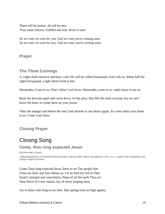There will be justice, all will be new Your name forever, Faithful and true, Jesus is soon

So we wait, we wait for you, God we wait you're coming soon So we wait, we wait for you, God we wait, you're coming soon

**Prayer**

## **The Three Comings**

A virgin shall conceive and bear a son, He will be called Emmanuel, God with us, When half the night had passed, a light shone forth at last.

Maranatha, Come to us, Don't delay Lord Jesus, Maranatha, come to us, make haste to see us.

Rend the heavens apart and come down, let the glory that fills the earth resound, but we can't know the hour, so come show us your power

After the manger and before the end, God advents to our hearts again, So come make your home in us, Come Lord Jesus

## **Closing Prayer**

# Closing Song

## **Come, thou long expected Jesus**

*Red Mountain Church*

*Catapultdistribution (on behalf of Red Mountain Church); BMG Rights Management (US), LLC, Capitol CMG Publishing, and 4 Music Rights Societies*

Come Thou long expected Jesus, Born to set Thy people free From our fears and sins release us, Let us find our rest in Thee Israel's strength and consolation, Hope of all the earth Thou art Dear desire of every nation, Joy of every longing heart

Joy to those who long to see thee, Day-spring from on high appear,